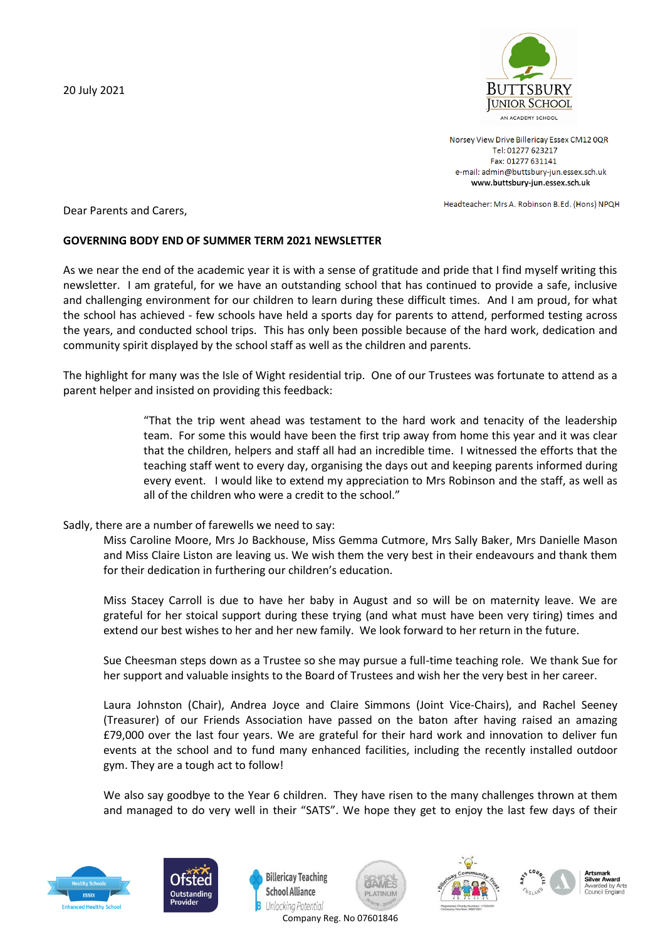20 July 2021



Norsey View Drive Billericay Essex CM12 0QR Tel: 01277 623217 Fax: 01277 631141 e-mail: admin@buttsbury-jun.essex.sch.uk www.buttsbury-jun.essex.sch.uk

Headteacher: Mrs A. Robinson B.Ed. (Hons) NPQH

Dear Parents and Carers,

## **GOVERNING BODY END OF SUMMER TERM 2021 NEWSLETTER**

As we near the end of the academic year it is with a sense of gratitude and pride that I find myself writing this newsletter. I am grateful, for we have an outstanding school that has continued to provide a safe, inclusive and challenging environment for our children to learn during these difficult times. And I am proud, for what the school has achieved - few schools have held a sports day for parents to attend, performed testing across the years, and conducted school trips. This has only been possible because of the hard work, dedication and community spirit displayed by the school staff as well as the children and parents.

The highlight for many was the Isle of Wight residential trip. One of our Trustees was fortunate to attend as a parent helper and insisted on providing this feedback:

> "That the trip went ahead was testament to the hard work and tenacity of the leadership team. For some this would have been the first trip away from home this year and it was clear that the children, helpers and staff all had an incredible time. I witnessed the efforts that the teaching staff went to every day, organising the days out and keeping parents informed during every event. I would like to extend my appreciation to Mrs Robinson and the staff, as well as all of the children who were a credit to the school."

## Sadly, there are a number of farewells we need to say:

Miss Caroline Moore, Mrs Jo Backhouse, Miss Gemma Cutmore, Mrs Sally Baker, Mrs Danielle Mason and Miss Claire Liston are leaving us. We wish them the very best in their endeavours and thank them for their dedication in furthering our children's education.

Miss Stacey Carroll is due to have her baby in August and so will be on maternity leave. We are grateful for her stoical support during these trying (and what must have been very tiring) times and extend our best wishes to her and her new family. We look forward to her return in the future.

Sue Cheesman steps down as a Trustee so she may pursue a full-time teaching role. We thank Sue for her support and valuable insights to the Board of Trustees and wish her the very best in her career.

Laura Johnston (Chair), Andrea Joyce and Claire Simmons (Joint Vice-Chairs), and Rachel Seeney (Treasurer) of our Friends Association have passed on the baton after having raised an amazing £79,000 over the last four years. We are grateful for their hard work and innovation to deliver fun events at the school and to fund many enhanced facilities, including the recently installed outdoor gym. They are a tough act to follow!

We also say goodbye to the Year 6 children. They have risen to the many challenges thrown at them and managed to do very well in their "SATS". We hope they get to enjoy the last few days of their













Company Reg. No 07601846